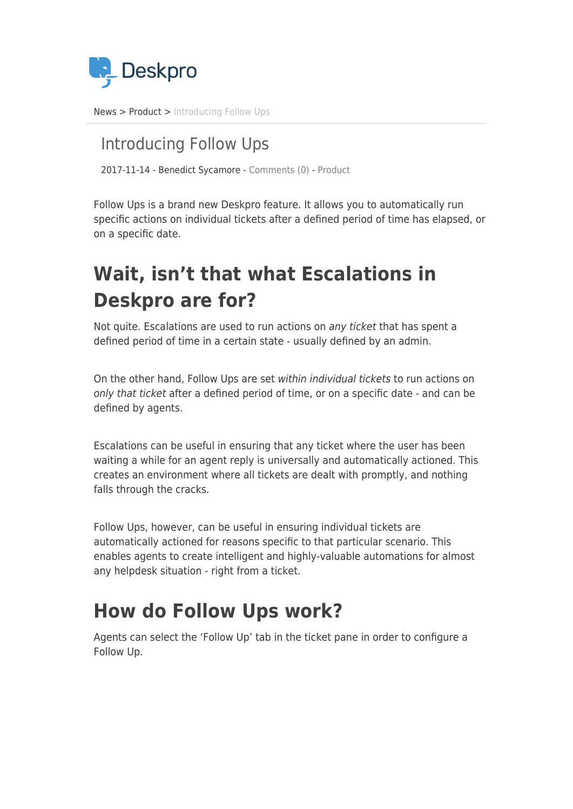

[News](https://support.deskpro.com/ro/news) > [Product](https://support.deskpro.com/ro/news/product) > [Introducing Follow Ups](https://support.deskpro.com/ro/news/posts/introducing-follow-ups)

### Introducing Follow Ups

2017-11-14 - Benedict Sycamore - [Comments \(0\)](#page--1-0) - [Product](https://support.deskpro.com/ro/news/product)

Follow Ups is a brand new Deskpro feature. It allows you to automatically run specific actions on individual tickets after a defined period of time has elapsed, or on a specific date.

# **Wait, isn't that what Escalations in Deskpro are for?**

Not quite. Escalations are used to run actions on any ticket that has spent a defined period of time in a certain state - usually defined by an admin.

On the other hand, Follow Ups are set within individual tickets to run actions on only that ticket after a defined period of time, or on a specific date - and can be defined by agents.

Escalations can be useful in ensuring that any ticket where the user has been waiting a while for an agent reply is universally and automatically actioned. This creates an environment where all tickets are dealt with promptly, and nothing falls through the cracks.

Follow Ups, however, can be useful in ensuring individual tickets are automatically actioned for reasons specific to that particular scenario. This enables agents to create intelligent and highly-valuable automations for almost any helpdesk situation - right from a ticket.

## **How do Follow Ups work?**

Agents can select the 'Follow Up' tab in the ticket pane in order to configure a Follow Up.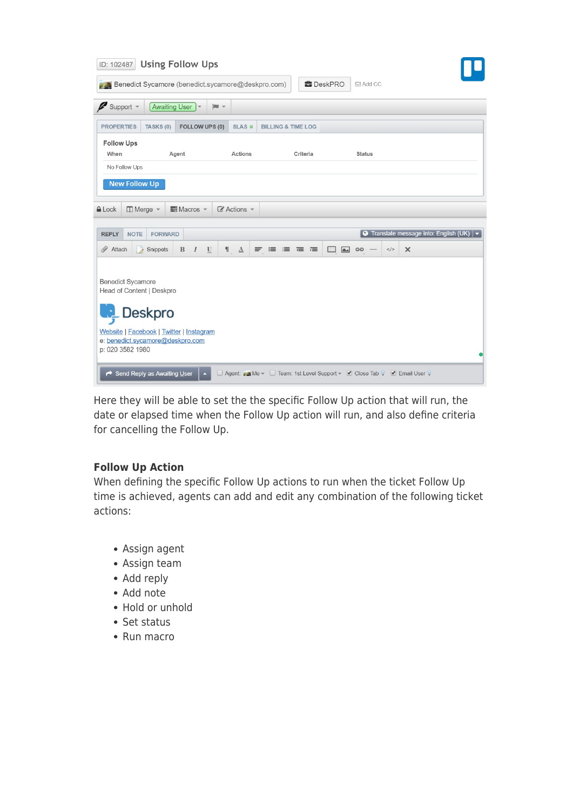| ID: 102487                                                                | <b>Using Follow Ups</b>                                                                 |                            |                               |                                                                        |                                                                        |
|---------------------------------------------------------------------------|-----------------------------------------------------------------------------------------|----------------------------|-------------------------------|------------------------------------------------------------------------|------------------------------------------------------------------------|
|                                                                           | Benedict Sycamore (benedict.sycamore@deskpro.com)                                       |                            | <b>DeskPRO</b>                | <b>⊠Add CC</b>                                                         |                                                                        |
| Support -<br>₽                                                            | Awaiting User<br>$\blacksquare$                                                         |                            |                               |                                                                        |                                                                        |
| <b>PROPERTIES</b>                                                         | FOLLOW UPS (0)<br>TASKS (0)                                                             | SLAS @                     | <b>BILLING &amp; TIME LOG</b> |                                                                        |                                                                        |
| <b>Follow Ups</b><br>When<br>No Follow Ups                                | Agent                                                                                   | Actions                    | Criteria                      | <b>Status</b>                                                          |                                                                        |
| <b>New Follow Up</b>                                                      |                                                                                         |                            |                               |                                                                        |                                                                        |
| A Lock                                                                    | $\Box$ Merge $\sim$<br>$\equiv$ Macros $\sim$                                           | $\mathbb Z$ Actions $\sim$ |                               |                                                                        |                                                                        |
| <b>REPLY</b><br><b>NOTE</b>                                               | <b>FORWARD</b>                                                                          |                            |                               |                                                                        | $\boxed{\odot}$ Translate message into: English (UK) $\boxed{\bullet}$ |
| Attach                                                                    | Snippets<br>$\mathbf{B}$<br>I<br>$\mathbf U$                                            | $\mathbf{A}$               | $F \equiv F$<br>$\Box$        | $\overline{\mathbf{a}}$<br>$\lt/$<br>GO                                | $\times$                                                               |
| <b>Benedict Sycamore</b><br>Head of Content   Deskpro<br>p: 020 3582 1980 | Deskpro<br>Website   Facebook   Twitter   Instagram<br>e: benedict.sycamore@deskpro.com |                            |                               |                                                                        |                                                                        |
|                                                                           | Send Reply as Awaiting User<br>$\overline{\phantom{a}}$                                 |                            |                               | □ Agent: Me v □ Team: 1st Level Support v 2 Close Tab V 2 Email User V |                                                                        |

Here they will be able to set the the specific Follow Up action that will run, the date or elapsed time when the Follow Up action will run, and also define criteria for cancelling the Follow Up.

### **Follow Up Action**

When defining the specific Follow Up actions to run when the ticket Follow Up time is achieved, agents can add and edit any combination of the following ticket actions:

- Assign agent
- Assign team
- Add reply
- Add note
- Hold or unhold
- Set status
- Run macro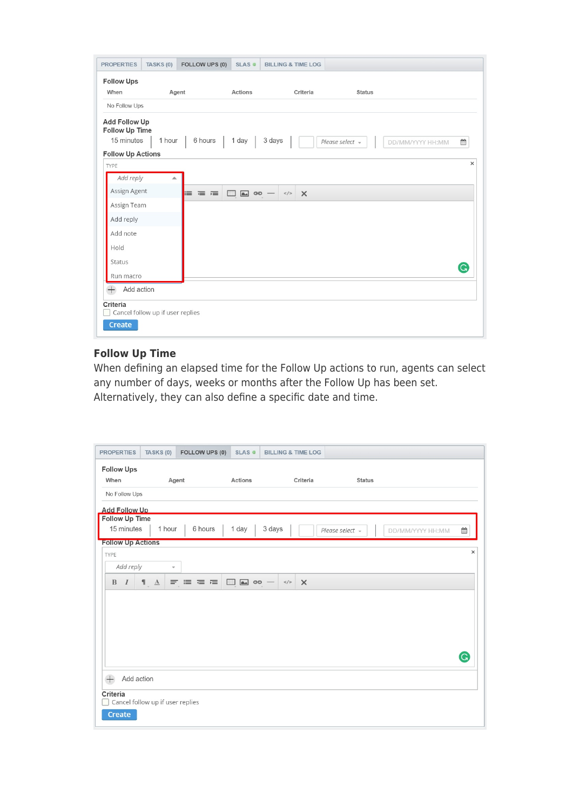| <b>PROPERTIES</b>                                                                | TASKS (0)                        | FOLLOW UPS (0) | SLAS @                | <b>BILLING &amp; TIME LOG</b> |                 |                  |          |
|----------------------------------------------------------------------------------|----------------------------------|----------------|-----------------------|-------------------------------|-----------------|------------------|----------|
| <b>Follow Ups</b>                                                                |                                  |                |                       |                               |                 |                  |          |
| When                                                                             |                                  | Agent          | Actions               | Criteria                      | <b>Status</b>   |                  |          |
| No Follow Ups                                                                    |                                  |                |                       |                               |                 |                  |          |
| <b>Add Follow Up</b><br>Follow Up Time<br>15 minutes<br><b>Follow Up Actions</b> | 1 hour                           | 6 hours        | 1 day                 | 3 days                        | Please select - | DD/MM/YYYY HH:MM | ₩        |
| TYPE                                                                             |                                  |                |                       |                               |                 |                  | $\times$ |
| Add reply                                                                        | ∸                                |                |                       |                               |                 |                  |          |
| Assign Agent                                                                     |                                  | 三 三 三          | $\Box$ $\Box$ $\circ$ | $<$ /><br>$\times$            |                 |                  |          |
| Assign Team                                                                      |                                  |                |                       |                               |                 |                  |          |
| Add reply                                                                        |                                  |                |                       |                               |                 |                  |          |
| Add note                                                                         |                                  |                |                       |                               |                 |                  |          |
| Hold                                                                             |                                  |                |                       |                               |                 |                  |          |
| Status                                                                           |                                  |                |                       |                               |                 |                  |          |
| Run macro                                                                        |                                  |                |                       |                               |                 |                  | G        |
| Add action<br>$^{+}$                                                             |                                  |                |                       |                               |                 |                  |          |
| Criteria<br><b>Create</b>                                                        | Cancel follow up if user replies |                |                       |                               |                 |                  |          |

### **Follow Up Time**

When defining an elapsed time for the Follow Up actions to run, agents can select any number of days, weeks or months after the Follow Up has been set. Alternatively, they can also define a specific date and time.

| <b>PROPERTIES</b>                | TASKS (0)                        | FOLLOW UPS (0) | SLAS @                | <b>BILLING &amp; TIME LOG</b> |          |                                          |          |
|----------------------------------|----------------------------------|----------------|-----------------------|-------------------------------|----------|------------------------------------------|----------|
| <b>Follow Ups</b>                |                                  |                |                       |                               |          |                                          |          |
| When                             |                                  | Agent          | Actions               |                               | Criteria | <b>Status</b>                            |          |
| No Follow Ups                    |                                  |                |                       |                               |          |                                          |          |
| <b>Add Follow Up</b>             |                                  |                |                       |                               |          |                                          |          |
| Follow Up Time<br>15 minutes     | 1 hour                           | 6 hours        | 1 day                 | 3 days                        |          | Please select $\sim$<br>DD/MM/YYYY HH:MM | 巤        |
| <b>Follow Up Actions</b>         |                                  |                |                       |                               |          |                                          |          |
| TYPE                             |                                  |                |                       |                               |          |                                          | $\times$ |
| Add reply                        | $\overline{\mathbf{v}}$          |                |                       |                               |          |                                          |          |
| $\bf{B}$<br>$\overline{I}$       | $\P$ .<br>$\underline{A}$        | 三三三三           | $\Box$ $\Box$ $\circ$ | $<$ />                        | $\times$ |                                          |          |
|                                  |                                  |                |                       |                               |          |                                          |          |
|                                  |                                  |                |                       |                               |          |                                          | G        |
| $^{+}$<br>Add action<br>Criteria |                                  |                |                       |                               |          |                                          |          |
| Create                           | Cancel follow up if user replies |                |                       |                               |          |                                          |          |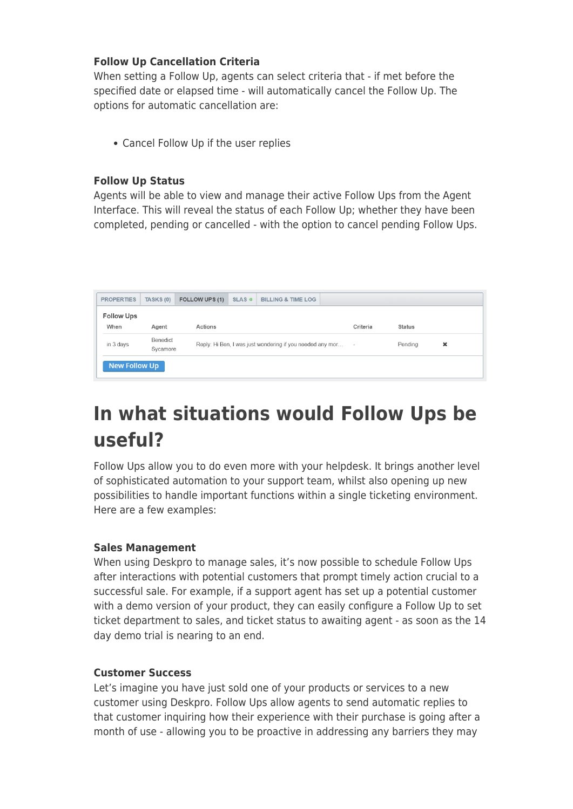### **Follow Up Cancellation Criteria**

When setting a Follow Up, agents can select criteria that - if met before the specified date or elapsed time - will automatically cancel the Follow Up. The options for automatic cancellation are:

Cancel Follow Up if the user replies

### **Follow Up Status**

Agents will be able to view and manage their active Follow Ups from the Agent Interface. This will reveal the status of each Follow Up; whether they have been completed, pending or cancelled - with the option to cancel pending Follow Ups.

| <b>PROPERTIES</b>         | TASKS (0)            | FOLLOW UPS (1) | SLAS <sub>®</sub> | <b>BILLING &amp; TIME LOG</b>                             |                          |               |   |  |
|---------------------------|----------------------|----------------|-------------------|-----------------------------------------------------------|--------------------------|---------------|---|--|
| <b>Follow Ups</b><br>When | Agent                | Actions        |                   |                                                           | Criteria                 | <b>Status</b> |   |  |
| in 3 days                 | Benedict<br>Sycamore |                |                   | Reply: Hi Ben, I was just wondering if you needed any mor | $\overline{\phantom{a}}$ | Pending       | × |  |
| <b>New Follow Up</b>      |                      |                |                   |                                                           |                          |               |   |  |

# **In what situations would Follow Ups be useful?**

Follow Ups allow you to do even more with your helpdesk. It brings another level of sophisticated automation to your support team, whilst also opening up new possibilities to handle important functions within a single ticketing environment. Here are a few examples:

### **Sales Management**

When using Deskpro to manage sales, it's now possible to schedule Follow Ups after interactions with potential customers that prompt timely action crucial to a successful sale. For example, if a support agent has set up a potential customer with a demo version of your product, they can easily configure a Follow Up to set ticket department to sales, and ticket status to awaiting agent - as soon as the 14 day demo trial is nearing to an end.

### **Customer Success**

Let's imagine you have just sold one of your products or services to a new customer using Deskpro. Follow Ups allow agents to send automatic replies to that customer inquiring how their experience with their purchase is going after a month of use - allowing you to be proactive in addressing any barriers they may